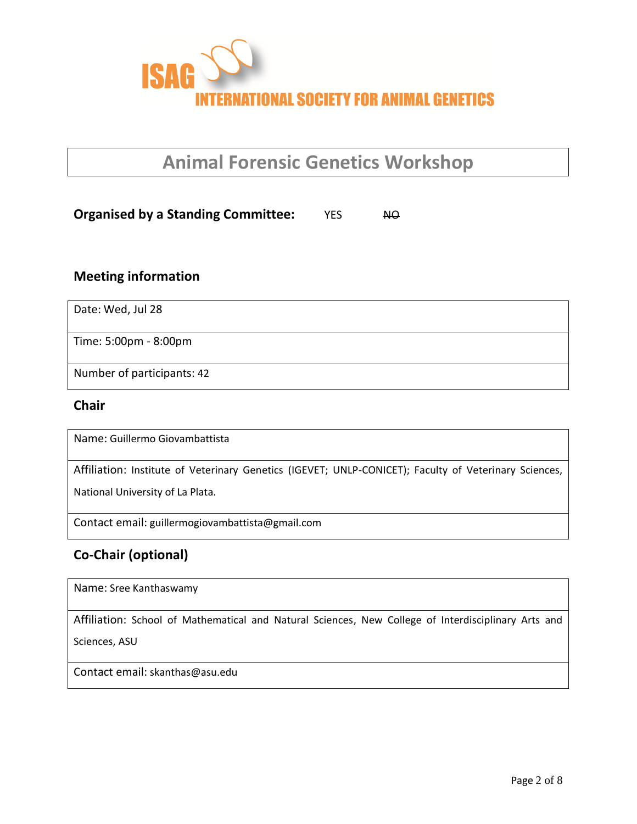

# **Animal Forensic Genetics Workshop**

#### **Organised by a Standing Committee:** YES NO

#### **Meeting information**

Date: Wed, Jul 28

Time: 5:00pm - 8:00pm

Number of participants: 42

#### **Chair**

Name: Guillermo Giovambattista

Affiliation: Institute of Veterinary Genetics (IGEVET; UNLP-CONICET); Faculty of Veterinary Sciences,

National University of La Plata.

Contact email: guillermogiovambattista@gmail.com

## **Co-Chair (optional)**

Name: Sree Kanthaswamy

Affiliation: School of Mathematical and Natural Sciences, New College of Interdisciplinary Arts and

Sciences, ASU

Contact email: skanthas@asu.edu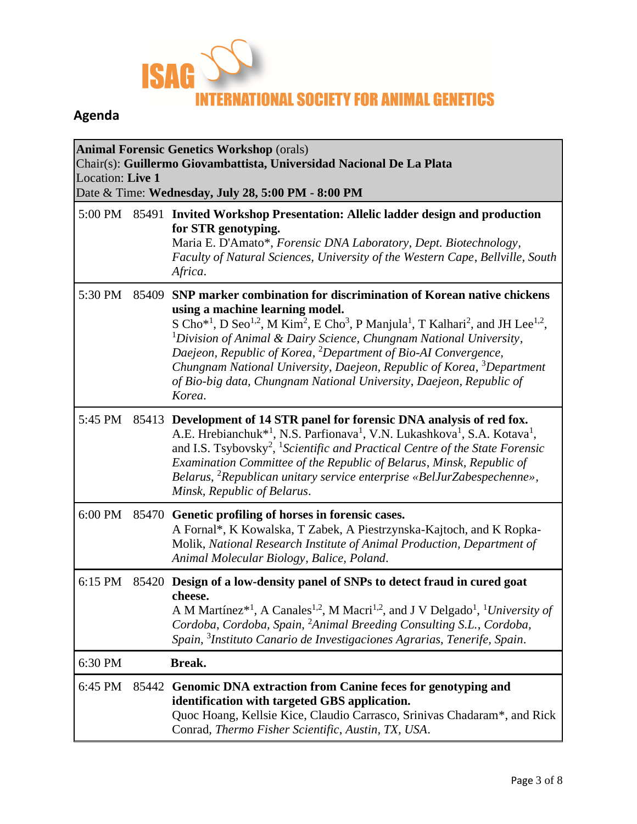

# **Agenda**

| <b>Animal Forensic Genetics Workshop (orals)</b><br>Chair(s): Guillermo Giovambattista, Universidad Nacional De La Plata<br>Location: Live 1<br>Date & Time: Wednesday, July 28, 5:00 PM - 8:00 PM |       |                                                                                                                                                                                                                                                                                                                                                                                                                                                                                                                                                                                                                  |  |  |  |
|----------------------------------------------------------------------------------------------------------------------------------------------------------------------------------------------------|-------|------------------------------------------------------------------------------------------------------------------------------------------------------------------------------------------------------------------------------------------------------------------------------------------------------------------------------------------------------------------------------------------------------------------------------------------------------------------------------------------------------------------------------------------------------------------------------------------------------------------|--|--|--|
| 5:00 PM                                                                                                                                                                                            |       | 85491 Invited Workshop Presentation: Allelic ladder design and production<br>for STR genotyping.<br>Maria E. D'Amato*, Forensic DNA Laboratory, Dept. Biotechnology,<br>Faculty of Natural Sciences, University of the Western Cape, Bellville, South<br>Africa.                                                                                                                                                                                                                                                                                                                                                 |  |  |  |
| 5:30 PM                                                                                                                                                                                            | 85409 | SNP marker combination for discrimination of Korean native chickens<br>using a machine learning model.<br>S Cho <sup>*1</sup> , D Seo <sup>1,2</sup> , M Kim <sup>2</sup> , E Cho <sup>3</sup> , P Manjula <sup>1</sup> , T Kalhari <sup>2</sup> , and JH Lee <sup>1,2</sup> ,<br>${}^{1}$ Division of Animal & Dairy Science, Chungnam National University,<br>Daejeon, Republic of Korea, <sup>2</sup> Department of Bio-AI Convergence,<br>Chungnam National University, Daejeon, Republic of Korea, <sup>3</sup> Department<br>of Bio-big data, Chungnam National University, Daejeon, Republic of<br>Korea. |  |  |  |
| 5:45 PM                                                                                                                                                                                            |       | 85413 Development of 14 STR panel for forensic DNA analysis of red fox.<br>A.E. Hrebianchuk <sup>*1</sup> , N.S. Parfionava <sup>1</sup> , V.N. Lukashkova <sup>1</sup> , S.A. Kotava <sup>1</sup> ,<br>and I.S. Tsybovsky <sup>2</sup> , <sup>1</sup> Scientific and Practical Centre of the State Forensic<br>Examination Committee of the Republic of Belarus, Minsk, Republic of<br>Belarus, <sup>2</sup> Republican unitary service enterprise «BelJurZabespechenne»,<br>Minsk, Republic of Belarus.                                                                                                        |  |  |  |
| 6:00 PM                                                                                                                                                                                            |       | 85470 Genetic profiling of horses in forensic cases.<br>A Fornal*, K Kowalska, T Zabek, A Piestrzynska-Kajtoch, and K Ropka-<br>Molik, National Research Institute of Animal Production, Department of<br>Animal Molecular Biology, Balice, Poland.                                                                                                                                                                                                                                                                                                                                                              |  |  |  |
| 6:15 PM                                                                                                                                                                                            | 85420 | Design of a low-density panel of SNPs to detect fraud in cured goat<br>cheese.<br>A M Martínez* <sup>1</sup> , A Canales <sup>1,2</sup> , M Macri <sup>1,2</sup> , and J V Delgado <sup>1</sup> , <sup>1</sup> University of<br>Cordoba, Cordoba, Spain, <sup>2</sup> Animal Breeding Consulting S.L., Cordoba,<br>Spain, <sup>3</sup> Instituto Canario de Investigaciones Agrarias, Tenerife, Spain.                                                                                                                                                                                                           |  |  |  |
| 6:30 PM                                                                                                                                                                                            |       | Break.                                                                                                                                                                                                                                                                                                                                                                                                                                                                                                                                                                                                           |  |  |  |
| 6:45 PM                                                                                                                                                                                            |       | 85442 Genomic DNA extraction from Canine feces for genotyping and<br>identification with targeted GBS application.<br>Quoc Hoang, Kellsie Kice, Claudio Carrasco, Srinivas Chadaram*, and Rick<br>Conrad, Thermo Fisher Scientific, Austin, TX, USA.                                                                                                                                                                                                                                                                                                                                                             |  |  |  |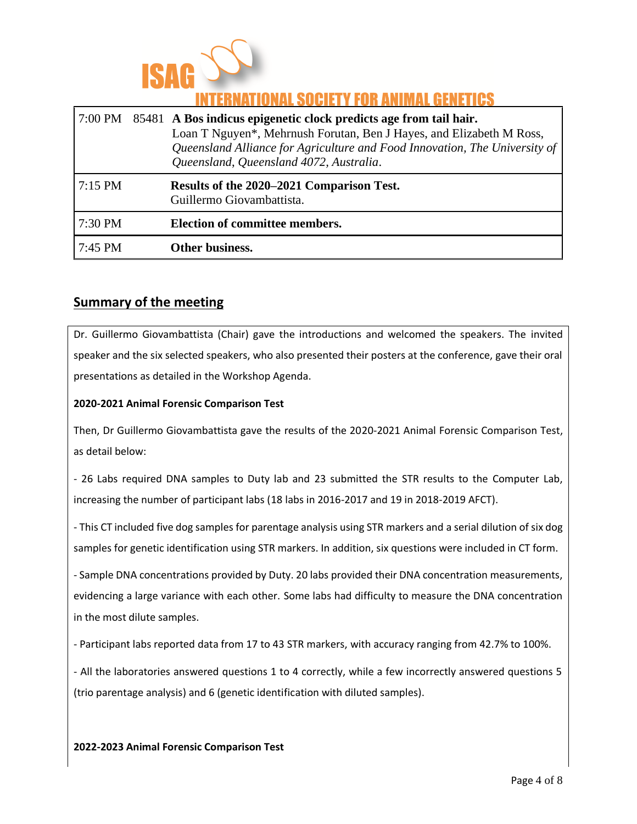

## INATIONAL SOCIETY FOR ANIMAL GENETICS

|           | 7:00 PM 85481 A Bos indicus epigenetic clock predicts age from tail hair.<br>Loan T Nguyen*, Mehrnush Forutan, Ben J Hayes, and Elizabeth M Ross,<br>Queensland Alliance for Agriculture and Food Innovation, The University of<br>Queensland, Queensland 4072, Australia. |
|-----------|----------------------------------------------------------------------------------------------------------------------------------------------------------------------------------------------------------------------------------------------------------------------------|
| $7:15$ PM | Results of the 2020–2021 Comparison Test.<br>Guillermo Giovambattista.                                                                                                                                                                                                     |
| 7:30 PM   | <b>Election of committee members.</b>                                                                                                                                                                                                                                      |
| $7:45$ PM | Other business.                                                                                                                                                                                                                                                            |

#### **Summary of the meeting**

Dr. Guillermo Giovambattista (Chair) gave the introductions and welcomed the speakers. The invited speaker and the six selected speakers, who also presented their posters at the conference, gave their oral presentations as detailed in the Workshop Agenda.

#### **2020-2021 Animal Forensic Comparison Test**

Then, Dr Guillermo Giovambattista gave the results of the 2020-2021 Animal Forensic Comparison Test, as detail below:

- 26 Labs required DNA samples to Duty lab and 23 submitted the STR results to the Computer Lab, increasing the number of participant labs (18 labs in 2016-2017 and 19 in 2018-2019 AFCT).

- This CT included five dog samples for parentage analysis using STR markers and a serial dilution of six dog samples for genetic identification using STR markers. In addition, six questions were included in CT form.

- Sample DNA concentrations provided by Duty. 20 labs provided their DNA concentration measurements, evidencing a large variance with each other. Some labs had difficulty to measure the DNA concentration in the most dilute samples.

- Participant labs reported data from 17 to 43 STR markers, with accuracy ranging from 42.7% to 100%.

- All the laboratories answered questions 1 to 4 correctly, while a few incorrectly answered questions 5 (trio parentage analysis) and 6 (genetic identification with diluted samples).

#### **2022-2023 Animal Forensic Comparison Test**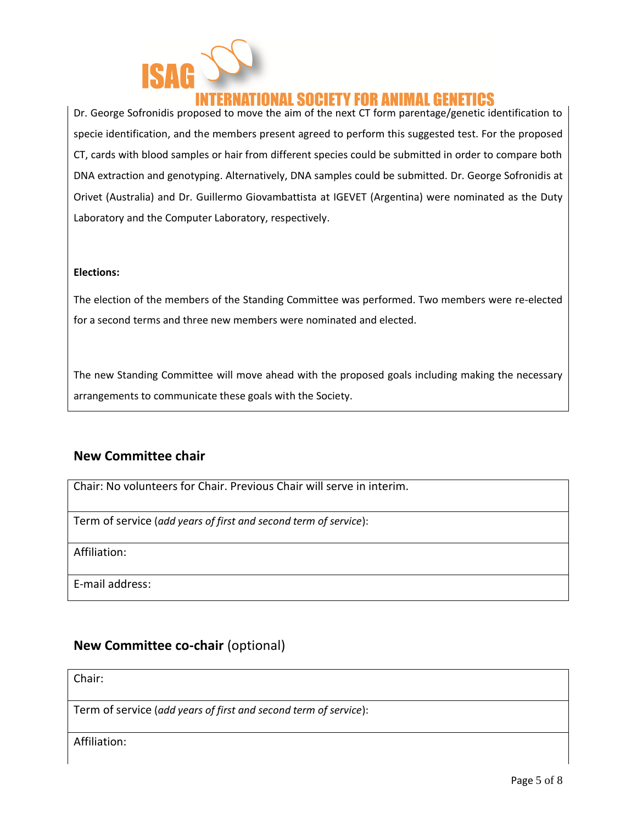

## ATIONAL SOCIETY FOR ANIMAL GENETICS

Dr. George Sofronidis proposed to move the aim of the next CT form parentage/genetic identification to specie identification, and the members present agreed to perform this suggested test. For the proposed CT, cards with blood samples or hair from different species could be submitted in order to compare both DNA extraction and genotyping. Alternatively, DNA samples could be submitted. Dr. George Sofronidis at Orivet (Australia) and Dr. Guillermo Giovambattista at IGEVET (Argentina) were nominated as the Duty Laboratory and the Computer Laboratory, respectively.

#### **Elections:**

The election of the members of the Standing Committee was performed. Two members were re-elected for a second terms and three new members were nominated and elected.

The new Standing Committee will move ahead with the proposed goals including making the necessary arrangements to communicate these goals with the Society.

#### **New Committee chair**

Chair: No volunteers for Chair. Previous Chair will serve in interim.

Term of service (*add years of first and second term of service*):

Affiliation:

E-mail address:

#### **New Committee co-chair** (optional)

Chair:

Term of service (*add years of first and second term of service*):

Affiliation: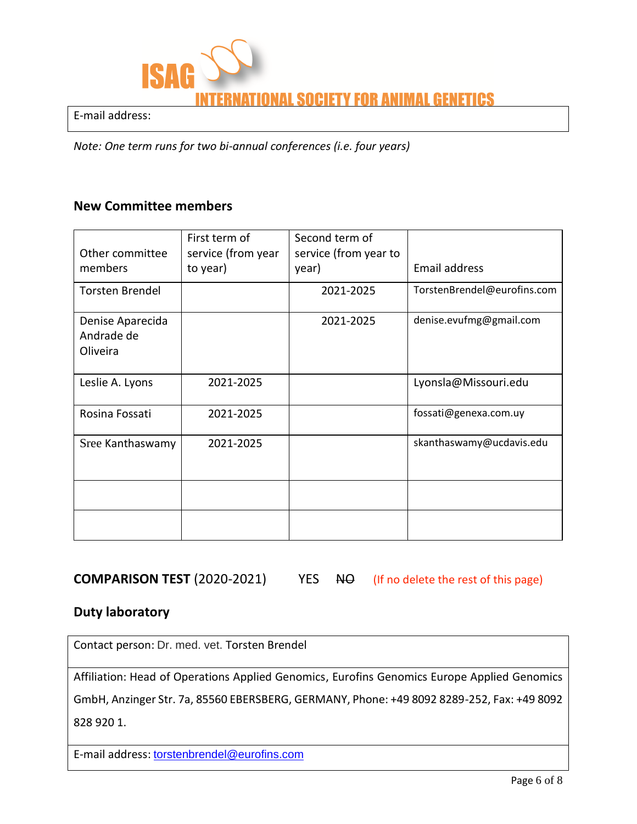

E-mail address:

*Note: One term runs for two bi-annual conferences (i.e. four years)*

#### **New Committee members**

| Other committee<br>members                 | First term of<br>service (from year<br>to year) | Second term of<br>service (from year to<br>year) | Email address               |
|--------------------------------------------|-------------------------------------------------|--------------------------------------------------|-----------------------------|
| <b>Torsten Brendel</b>                     |                                                 | 2021-2025                                        | TorstenBrendel@eurofins.com |
| Denise Aparecida<br>Andrade de<br>Oliveira |                                                 | 2021-2025                                        | denise.evufmg@gmail.com     |
| Leslie A. Lyons                            | 2021-2025                                       |                                                  | Lyonsla@Missouri.edu        |
| Rosina Fossati                             | 2021-2025                                       |                                                  | fossati@genexa.com.uy       |
| Sree Kanthaswamy                           | 2021-2025                                       |                                                  | skanthaswamy@ucdavis.edu    |
|                                            |                                                 |                                                  |                             |
|                                            |                                                 |                                                  |                             |

**COMPARISON TEST** (2020-2021) YES NO (If no delete the rest of this page)

#### **Duty laboratory**

Contact person: Dr. med. vet. Torsten Brendel

Affiliation: Head of Operations Applied Genomics, Eurofins Genomics Europe Applied Genomics

GmbH, Anzinger Str. 7a, 85560 EBERSBERG, GERMANY, Phone: +49 8092 8289-252, Fax: +49 8092 828 920 1.

E-mail address: [torstenbrendel@eurofins.com](mailto:torstenbrendel@eurofins.com)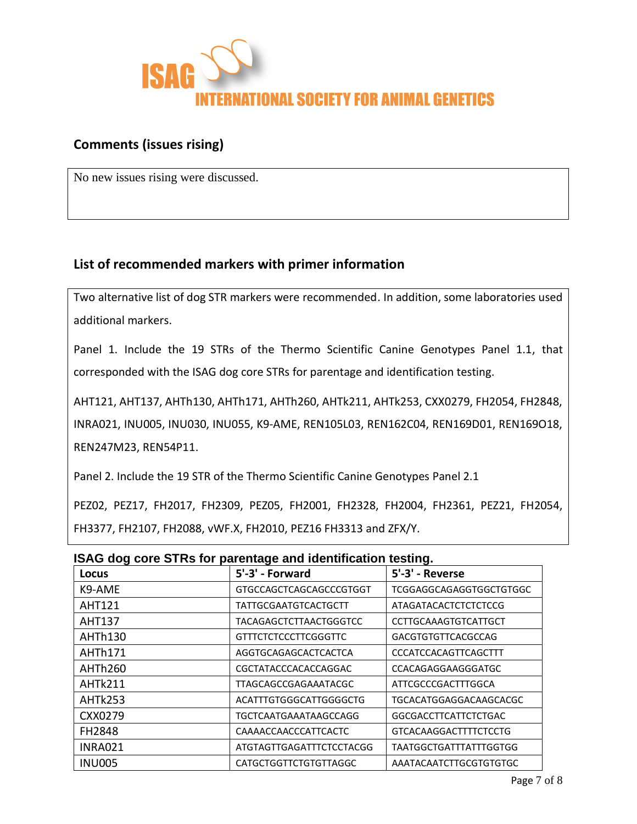

### **Comments (issues rising)**

No new issues rising were discussed.

## **List of recommended markers with primer information**

Two alternative list of dog STR markers were recommended. In addition, some laboratories used additional markers.

Panel 1. Include the 19 STRs of the Thermo Scientific Canine Genotypes Panel 1.1, that corresponded with the ISAG dog core STRs for parentage and identification testing.

AHT121, AHT137, AHTh130, AHTh171, AHTh260, AHTk211, AHTk253, CXX0279, FH2054, FH2848, INRA021, INU005, INU030, INU055, K9-AME, REN105L03, REN162C04, REN169D01, REN169O18, REN247M23, REN54P11.

Panel 2. Include the 19 STR of the Thermo Scientific Canine Genotypes Panel 2.1

PEZ02, PEZ17, FH2017, FH2309, PEZ05, FH2001, FH2328, FH2004, FH2361, PEZ21, FH2054, FH3377, FH2107, FH2088, vWF.X, FH2010, PEZ16 FH3313 and ZFX/Y.

| ISAG dog core STRs for parentage and identification testing. |                          |                             |  |  |  |
|--------------------------------------------------------------|--------------------------|-----------------------------|--|--|--|
| Locus                                                        | 5'-3' - Forward          | 5'-3' - Reverse             |  |  |  |
| K9-AME                                                       | GTGCCAGCTCAGCAGCCCGTGGT  | TCGGAGGCAGAGGTGGCTGTGGC     |  |  |  |
| <b>AHT121</b>                                                | TATTGCGAATGTCACTGCTT     | ATAGATACACTCTCTCTCCG        |  |  |  |
| AHT137                                                       | TACAGAGCTCTTAACTGGGTCC   | CCTTGCAAAGTGTCATTGCT        |  |  |  |
| AHTh130                                                      | GTTTCTCTCCCTTCGGGTTC     | GACGTGTGTTCACGCCAG          |  |  |  |
| AHTh171                                                      | AGGTGCAGAGCACTCACTCA     | <b>CCCATCCACAGTTCAGCTTT</b> |  |  |  |
| AHTh260                                                      | CGCTATACCCACACCAGGAC     | CCACAGAGGAAGGGATGC          |  |  |  |
| AHTk211                                                      | TTAGCAGCCGAGAAATACGC     | ATTCGCCCGACTTTGGCA          |  |  |  |
| AHTk253                                                      | ACATTTGTGGGCATTGGGGCTG   | TGCACATGGAGGACAAGCACGC      |  |  |  |
| CXX0279                                                      | TGCTCAATGAAATAAGCCAGG    | GGCGACCTTCATTCTCTGAC        |  |  |  |
| FH2848                                                       | CAAAACCAACCCATTCACTC     | GTCACAAGGACTTTTCTCCTG       |  |  |  |
| <b>INRA021</b>                                               | ATGTAGTTGAGATTTCTCCTACGG | TAATGGCTGATTTATTTGGTGG      |  |  |  |
| <b>INU005</b>                                                | CATGCTGGTTCTGTGTTAGGC    | AAATACAATCTTGCGTGTGTGC      |  |  |  |

### **ISAG dog core STRs for parentage and identification testing.**